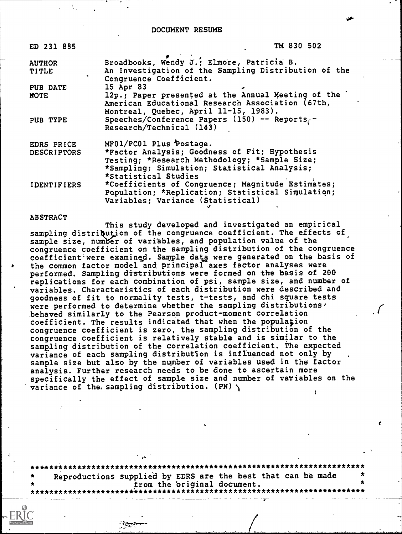DOCUMENT RESUME

| ED 231 885         | TM 830 502                                                      |
|--------------------|-----------------------------------------------------------------|
| <b>AUTHOR</b>      | Broadbooks, Wendy $\tilde{\mathfrak{J}}$ .; Elmore, Patricia B. |
| <b>TITLE</b>       | An Investigation of the Sampling Distribution of the            |
|                    | Congruence Coefficient.                                         |
| PUB DATE           | 15 Apr 83                                                       |
| NOTE               | 12p.; Paper presented at the Annual Meeting of the '            |
|                    | American Educational Research Association (67th,                |
|                    | Montreal, Quebec, April 11-15, 1983).                           |
| PUB TYPE           | Speeches/Conference Papers (150) -- Reports,-                   |
|                    | Research/Technical (143)                                        |
| EDRS PRICE         | MF01/PC01 Plus Postage.                                         |
| <b>DESCRIPTORS</b> | *Factor Analysis; Goodness of Fit; Hypothesis                   |
|                    | Testing; *Research Methodology; *Sample Size;                   |
|                    | *Sampling; Simulation; Statistical Analysis;                    |
|                    | *Statistical Studies                                            |
| <b>IDENTIFIERS</b> | *Coefficients of Congruence; Magnitude Estimates;               |
|                    | Population; *Replication; Statistical Simulation;               |
|                    | Variables; Variance (Statistical)                               |

## ABSTRACT

This study developed and investigated an empirical sampling distriqution of the congruence coefficient. The effects of sample size, number of variables, and population value of the congruence coefficient on the sampling distribution of the congruence coefficient were examined. Sample data were generated on the basis of the common factor model and principal axes factor analyses were performed. Sampling distributions were formed on the basis of 200 replications for each combination of psi, sample size, and number of variables. Characteristics of each distribution were described and goodness of fit to normality tests, t-tests, and chi square tests were performed to determine whether the sampling distributions, \_behaved similarly to the Pearson product-moment correlation coefficient. The results indicated that when the population congruence coefficient is zero, the sampling distribution of the congruence coefficient is relatively stable and is similar to the sampling distribution of the correlation coefficient. The expected variance of each sampling distribution is influenced not only by sample size but also by the number of variables used in the factor analysis. Further research needs to be done to ascertain more specifically the effect of sample size and number of variables on the variance of the sampling distribution.  $(PN) \setminus$ 

\*\*\*.\*\*\*\*\*\*\*\*\*\*\*\*\*\*\*\*\*\*\*\*\*\*\*\*\*\*\*\*\*\*\*\*\*\*\*\*\*\*\*\*\*\*\*\*\*\*\*\*\*\*\*\*\*\*\*\*\*\*\*\*\*\*\*\*\*\*\*\* Reproductions supplied by EDRS are the best that can be made<br>from the original document. from the 'original document. \*\*\*\*\*\*\*\*\*\*\*\*\*\*\*\*\*\*\*\*\*\*\*\*\*\*\*\*\*\*\*\*\*\*\*\*\*\*\*\*\*\*\*\*\*\*\*\*\*\*\*\*\*\*\*\*\*\*\*\*\*\*\*\*\*\*\*\*\*\*\*

 $\mathcal{L}_{\mathcal{R}}$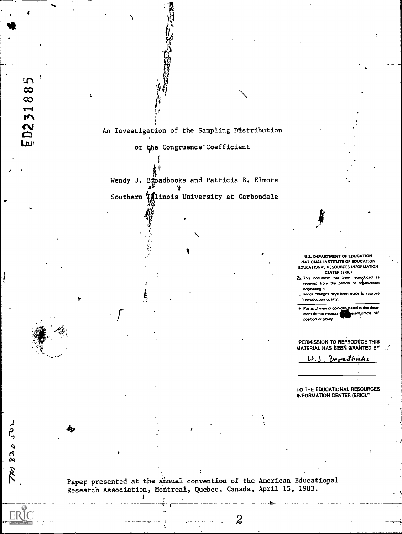An Investigation of the Sampling Distribution

5  $\infty$  $\infty$  $\overline{\phantom{a}}$  $\mathbf{M}$  $\mathbf{S}$ 

Lui

 $8305$ 

of the Congruence Coefficient

Wendy J. Bapadbooks and Patricia B. Elmore Southern *Hinois* University at Carbondale

> U.S. DEPARTMENT OF EDUCATION NATIONAL INSTITUTE OF EDUCATION EDUCATIONAL RESOURCES INFORMATION CENTER (ERIC)

A This document has been rep  $1$ received from the person or organization onginating it

Minor changes have been made to improve reproduction quality.

Points of view or opinions stated in this document do not necessar ssent official NIE position or policy

"PERMISSION TO REPRODUCE THIS MATERIAL HAS BEEN GRANTED BY

Broadbooks ل کما

TO THE EDUCATIONAL RESOURCES INFORMATION CENTER (ERIC)."

Paper presented at the annual convention of the American Educational Research Association, Montreal, Quebec, Canada, April 15, 1983.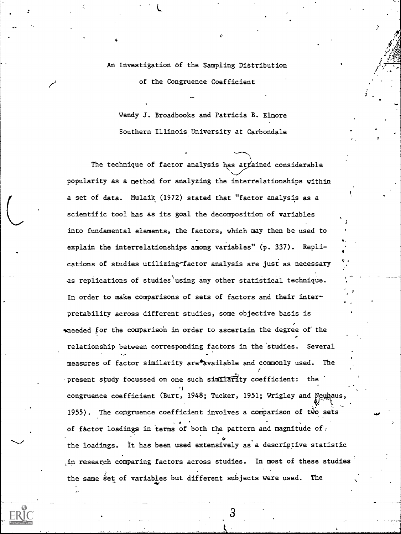An Investigation of the Sampling Distribution

of the Congruence Coefficient

Wendy J. Broadbooks and Patricia B. Elmore Southern Illinois University at Carbondale

The technique of factor analysis has at fained considerable popularity as a method for analyzing the interrelationships within a set of data. Mulaik (1972) stated that "factor analysis as a scientific tool has as its goal the decomposition of variables into fundamental elements, the factors, which may then be used to explain the interrelationships among variables" (p. 337). Replications of studies utilizing-factor analysis are just as necessary as replications of studies<sup>'</sup>using any other statistical technique. In order to make comparisons of sets of factors and their interpretability across different studies, sone objective basis is meeded for the comparison in order to ascertain the degree of the relationship between corresponding factors in the'studies. Several measures of factor similarity are\*Available and commonly used. The present study focussed on one such similarlty coefficient: the 1 congruence coefficient (Burt, 1948; Tucker, 1951; Wrigley and Neuhaus, 1955). The congruence coefficient involves a comparison of two sets of factor loadings in terms of both the pattern and magnitude of  $\mathbb{R}$ the loadings. it has been used extensively as'a descriptive statistic ,in research comparing factors across studies. In most of these studies the same set of variables but different subjects were used. The

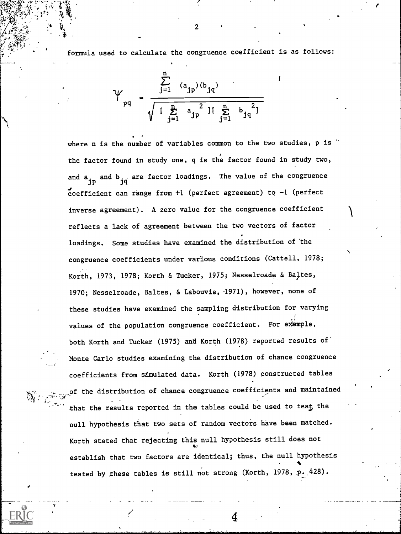formula used to calculate the congruence coefficient is as follows:

$$
\gamma_{pq} = \frac{\sum_{j=1}^{n} (a_{jp})(b_{jq})}{\sqrt{\left[\sum_{j=1}^{n} a_{jp}^{2}\right] \left[\sum_{j=1}^{n} b_{jq}^{2}\right]}}
$$

where n is the number of variables common to the two studies, p is  $\sim$ the factor found in study one, q is the factor found in study two, and a , and b <sub>jq</sub> are factor loadings. The value of the congruence<br>jp coefficient can range from  $+1$  (perfect agreement) to  $-1$  (perfect inverse agreement). A zero value for the congruence coefficient reflects a lack of agreement between the two vectors of factor loadings. Some studies have examined the distribution of the congruence coefficients under various conditions (Cattell, 1978; Korth, 1973, 1978; Korth & Tucker, 1975; Nesselroade & Baltes, 1970; Nesselroade, Baltes, & tabouvie, 4971), however, none of these studies have examined the sampling distribution for varying values of the population congruence coefficient. For example, both Korth and Tucker (1975) and Korth (1978) reported results of Monte Carlo studies examining the distribution of chance congruence coefficients from simulated data. Korth (1978) constructed tables of the distribution of chance congruence coefficients and maintained that the results reported in the tables could be used to test the null hypothesis that two sets of random vectors have been matched. Korth stated that rejecting this null hypothesis still does not establish that two factors are identical; thus, the null hypothesis  $\blacksquare$ tested by these tables is still not strong (Korth, 1978, p. 428).

2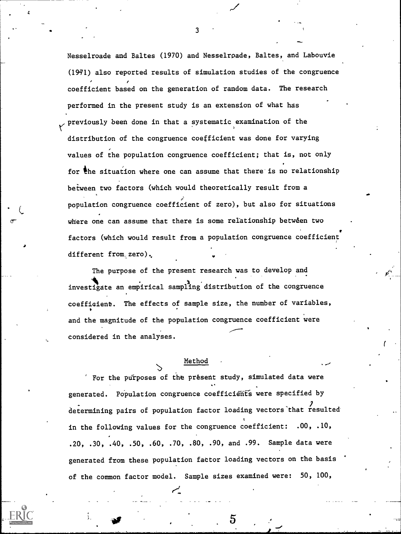Nesselroade and Baltes (1970) and Nesselrpade, Baltes, and Labouvie (1931) also reported results of simulation studies of the congruence coefficient based on the generation of random data. The research performed in the present study is an extension of what has previously been done in that a systematic examination of the distribution of the congruence coefficient was done for varying values of the population congruence coefficient; that is, not only for the situation where one can assume that there is no relationship beiween two factors (which would theoretically result from a ; population congruence coefficient of zero), but also for situations where one can assume that there is some relationship between two factors (which would result from a population congruence coefficient different from zero).

The purpose of the present research was to develop and investigate an empirical sampling distribution of the congruence coeffiaient. The effects of sample size, the number of variables, and the magnitude of the population congruence coefficient were considered in the analyses.

## Method

For the purposes of the present study, simulated data were generated. Population congruence coefficients were specified by determining pairs of population factor loading vectors that resulted in the following values for the congruence coefficient: .00, .10, .20, .30, .40, .50, .60, .70, .80, .90, and .99. Sample data were generated from these population factor loading vectors on the basis of the common factor model. Sample sizes examined were: 50, 100,

3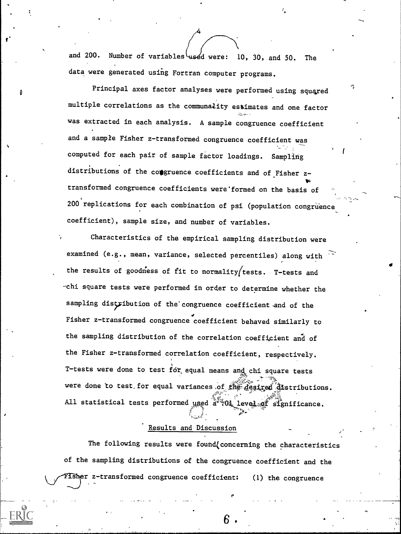and 200. Number of variables used were: 10, 30, and 50. The data were generated using Fortran computer programs.

t<sub>t</sub>

 $\mathbf{v}$  and  $\mathbf{v}$ 

Principal axes factor analyses were performed using squared multiple correlations as the communality estimates and one factor was extracted in each analysis. A sample congruence coefficient and a sample Fisher z-transformed congruence coefficient was computed for each pair of sample factor loadings. Sampling distributions of the congruence coefficients and of Fisher  $z \overline{\phantom{a}}$  transformed congruence coefficients were formed on the basis of  $\overline{\phantom{a}}$ 200 replications for each combination of psi (population congruence coefficient), sample size, and number of variables.

Characteristics of the empirical sampling distribution were examined (e.g., mean, variance, selected percentiles) along with the results of goodness of fit to normality/tests. T-tests and -chi square tests were performed in order to determine whether the sampling distribution of the congruence coefficient and of the  $\bullet$  4  $\bullet$  4  $\bullet$ Fisher z-transformed congruence coefficient behaved similarly to the sampling distribution of the correlation coefficient aria of the Fisher z-transformed correlation coefficient, respectively. T-tests were done to test  $\tilde{f}$ or equal means and chi square tests were done to test for equal variances of the desired distributions. All statistical tests performed used a 304 level of significance.

## Results and Discussion

The following results were found (concerning the characteristics of the sampling distributions of the congruence coefficlent and the FISher z-transformed congruence coefficient: (1) the congruence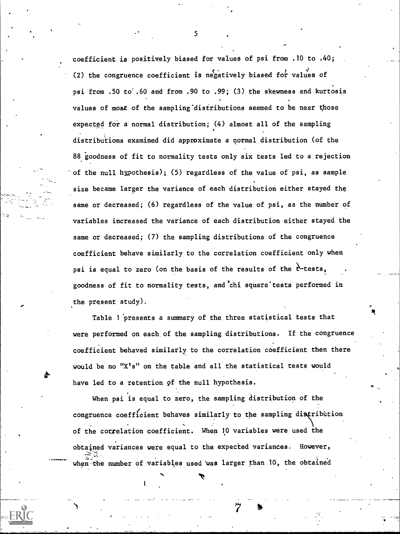coefficient is positively biased for values of psi from .10 to .40; (2) the congruence coefficient is negatively biased for values of psi from .50 to'.60 and from .90 to .99; (3) the skewness and kurtosis values of most of the sampling distributions seemed to be near those expected for a normal distribution; (4) almost all of the sampling distributions examined did approximate a normal distribution (of the 88 goodness of fit to normality tests only six tests led to a rejection of the null hypothesis); (5) regardless of the value of psi, as sample size became larger the variance of each distribution either stayed the same or decreased; (6) regardless of the value of psi, as the number of variables increased the variance of each distribution either stayed the same or decreased; (7) the sampling distributions of the congruence coefficient behave similarly to the correlation coefficient only when psi is equal to zero (on the basis of the results of the  $\mathfrak{k}$ -tests, goodness of fit to normality tests, and'chi square'tests performed in the present study).

=

otra a contra a contra a contra a contra a contra a contra a contra a contra a contra a contra a contra a contra a contra a contra a contra a contra a contra a contra a contra a contra a contra a contra a contra a contra a Table 1 'presents a summary of the three statistical tests that were performed on each of the sampling distributions. If the congruence coefficient behaved similarly to the correlation coefficient then there would be no "X's" on the table and all the statistical tests would have led to a retention of the null hypothesis.

When psi is equal to zero, the sampling distribution of the congruence coefficient behaves similarly to the sampling distribution of the correlation coefficient. When 10 variables were used the obtained variances were equal to the expected variances. However, when the number of variables used was larger than 10, the obtained

a

5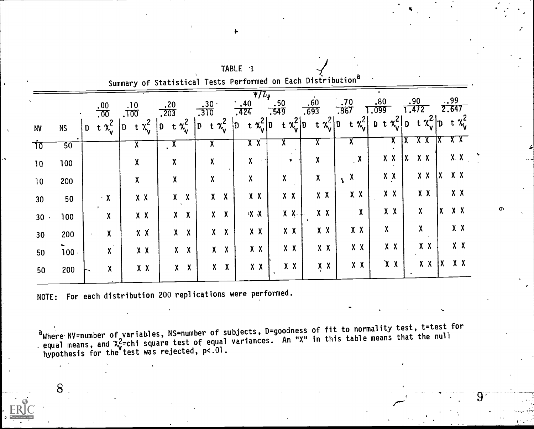|                 |           |                         |                           |                            | Summary of Statistical lests Performed on Each Distribution |                                       |                                                              |                         |                           |                     |                           |                           |                      |
|-----------------|-----------|-------------------------|---------------------------|----------------------------|-------------------------------------------------------------|---------------------------------------|--------------------------------------------------------------|-------------------------|---------------------------|---------------------|---------------------------|---------------------------|----------------------|
|                 |           | .00<br>$\overline{.00}$ |                           | .10<br>.700                | .20<br>.203                                                 | $.30 \cdot$<br>.310                   | $\overline{\Psi/\mathrm{Z}_{\Psi}}$<br>$\cdot$ ,40<br>$-424$ | .50<br>.549             | .60<br>.693               | .70<br>.867         | .80<br>.099               | .90<br>.472               | .99<br>2.647         |
| <b>NV</b>       | <b>NS</b> | D                       | t $\chi^2$                | t $\chi^2$<br>$\mathbf{D}$ | t $x_v^2$<br>D                                              | t $x_v^2$<br>$\mathbf{D}$             | t $x_v^2 _D$<br>D.                                           | t $x_v^2 v$             | t $\chi^2_{\mathsf{v}} 0$ | t $x_v^2$           | + $\chi_v^2$   D<br>$D$ t | t $\chi_v^2$ D            | t $\chi^2$           |
| $70^{\circ}$    | 50        |                         |                           | $\overline{\mathbf{X}}$    | $\overline{X}$                                              | $\overline{\mathbf{X}}$               | X X                                                          | $\overline{\textsf{x}}$ | $\overline{\mathbf{X}}$   | ^                   | Ā                         | χχ                        |                      |
| 10              | 100       |                         |                           | χ                          | χ                                                           | χ                                     | X                                                            | v.                      | χ                         | $\mathbf{X}$        | $X$ X                     | $X$ $X$<br>$\mathbf{X}$   | $X - X$              |
| 10              | 200       |                         |                           | $\boldsymbol{X}$           | χ                                                           | Χ                                     | χ                                                            | χ                       | $\pmb{\chi}$              | $\boldsymbol{\chi}$ | $X$ $X$                   | $X$ $X$                   | X X<br>χ             |
| 30              | 50        |                         | $\cdot$ X                 | $X$ $X$                    | $\boldsymbol{\chi}$<br>$\mathsf{X}^-$                       | $\boldsymbol{X}$<br>$\mathsf{X}$      | $X$ $X$                                                      | $X$ $X$                 | $x \times$                | X X                 | $X$ $X$                   | $X$ $X$                   | $X$ $X$              |
| 30              | 100       |                         | $\boldsymbol{X}$          | $X$ $X$                    | $\boldsymbol{\chi}$<br>$\bm{X}$                             | $\boldsymbol{X}$<br>$\mathbf{X}$      | X X                                                          | $X - X -$               | $X$ $X$                   | χ                   | $X$ $X$                   | $\boldsymbol{\mathsf{X}}$ | X<br>$X$ X           |
| 30 <sub>o</sub> | 200       |                         | χ                         | X X                        | $\boldsymbol{\chi}$<br>χ                                    | $\boldsymbol{X}$<br>$\mathbf{X}$      | $X$ $X$                                                      | $X$ $X$                 | $X$ $X$                   | $X$ $X$             | $\pmb{\chi}$              | X                         | $X$ $X$              |
| 50              | 100       |                         | $\boldsymbol{\mathsf{X}}$ | X X                        | $\boldsymbol{\chi}$<br>χ                                    | $\boldsymbol{\mathsf{X}}$<br>$\bm{X}$ | X X                                                          | $X$ $X$                 | $X$ $X$                   | $X$ $X$             | X X                       | $X$ $X$                   | X X                  |
| 50              | 200       |                         | χ                         | X X                        | $\boldsymbol{\mathsf{X}}$<br>χ                              | $\boldsymbol{X}$<br>$\mathsf{X}^-$    | $X$ $X$                                                      | $X$ $X$                 | $X$ $X$                   | $X$ $X$             | X X                       | $X$ $X$                   | XX<br>$\mathsf{X}^-$ |
|                 |           |                         |                           |                            |                                                             |                                       |                                                              |                         |                           |                     |                           |                           |                      |

TABLE 1

NOTE: For each distribution 200 replications were performed.

<sup>a</sup>Where NV=number of variables, NS=number of subjects, D=goodness of fit to normality test, t=test for<br>equal means, and  $\chi^2$ =chi square test of equal variances. An "X" in this table means that the null<br>hypothesis for t

8

 $9\phantom{.}$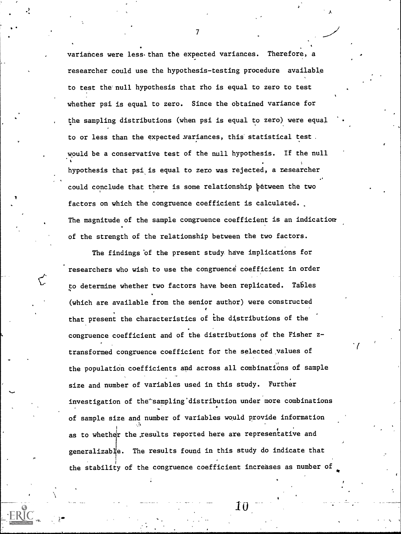variances were less-than the expected variances. Therefore, a researcher could use the hypothesis-testing procedure available to test the' null hypothesis that rho is equal to zero to test whether psi is equal to zero. Since the obtained variance for the sampling distributions (when psi is equal to zero) were equal to or less than the expected Yariances, this statistical test . .would be a conservative test of the null hypothesis. If the null hypothesis that psi is equal to zero was rejected, a researcher could conclude that there is some relationship pétween the two factors on which the congruence coefficient is calculated. The magnitude of the sample congruence coefficient is an indication of the strength of the relationship between the two factors.

The findings 'of the present study have implications for researchers who wish to use the congruence coefficient in order to determine whether two factors have been replicated. Tables (which are available from the senior author) were constructed that present the characteristics of the distributions of the congruence coefficient and of the distributions of the Fisher ztransformed congruence coefficient for the selected,values of the population coefficients and across all combinations of sample size and number of variables used in this study. Further investigation of the sampling distribution under more combinations of sample size and number of variables would provide information as to whether the results reported here are representative and generalizable. The results found in this study do indicate that the stability of the congruence coefficient increases as number of

 $\bf{10}$ 

 $\bullet$  and  $\bullet$ 

,

 $\mathcal{T}$  and  $\mathcal{T}$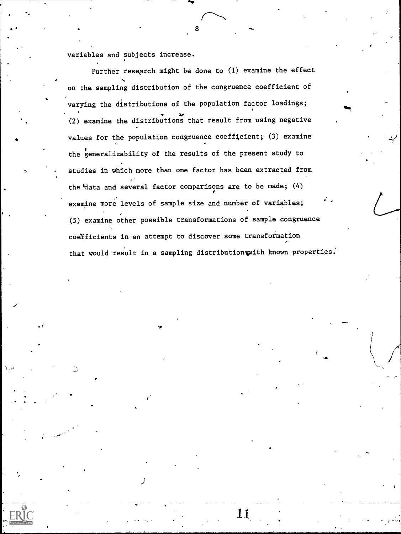variables and subjects increase.

Further research might be done to (1) examine the effect on the sampling distribution of the congruence coefficient of varying the distributions of the population factor loadings;  $\mathcal{U}$ (2) examine the distributions that result from using negative values for the population congruence coefficient; (3) examine the generalizability of the results of the present study to studies in which more than one factor has been extracted from the'data and several factor comparisons are to be made; (4) examine more levels of sample size and number of variables; (5) examine other possible transformations of sample congruence coetficients in an attempt to discover some transformation that would result in a sampling distribution with known properties.

8

111..

11

 $\overline{a}$ 

lot